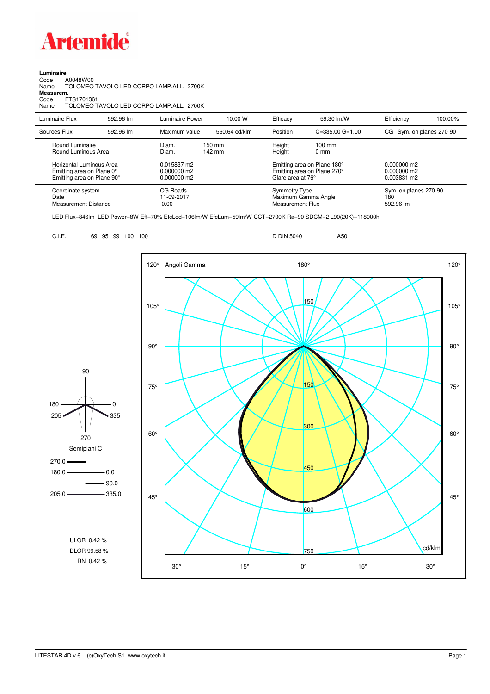

**Luminaire**

| A0048W00<br>Code<br>Name<br>Measurem.<br>Code<br>FTS1701361<br>Name                 |           | TOLOMEO TAVOLO LED CORPO LAMP.ALL. 2700K<br>TOLOMEO TAVOLO LED CORPO LAMP.ALL. 2700K |                  |                  |                                                                                 |                          |                                           |  |
|-------------------------------------------------------------------------------------|-----------|--------------------------------------------------------------------------------------|------------------|------------------|---------------------------------------------------------------------------------|--------------------------|-------------------------------------------|--|
| Luminaire Flux                                                                      | 592.96 lm | <b>Luminaire Power</b>                                                               | 10.00 W          | Efficacy         | 59.30 lm/W                                                                      | Efficiency               | 100.00%                                   |  |
| Sources Flux                                                                        | 592.96 lm | Maximum value                                                                        | 560.64 cd/klm    | Position         | $C = 335.00$ $G = 1.00$                                                         | CG Sym. on planes 270-90 |                                           |  |
| Round Luminaire<br>Round Luminous Area                                              |           | Diam.<br>Diam.                                                                       | 150 mm<br>142 mm | Height<br>Height | $100$ mm<br>0 <sub>mm</sub>                                                     |                          |                                           |  |
| Horizontal Luminous Area<br>Emitting area on Plane 0°<br>Emitting area on Plane 90° |           | 0.015837 m2<br>0.000000 m2<br>0.000000 m2                                            |                  |                  | Emitting area on Plane 180°<br>Emitting area on Plane 270°<br>Glare area at 76° |                          |                                           |  |
| Coordinate system<br>Date<br><b>Measurement Distance</b>                            |           | CG Roads<br>11-09-2017<br>0.00                                                       |                  |                  | <b>Symmetry Type</b><br>Maximum Gamma Angle<br>Measurement Flux                 |                          | Sym. on planes 270-90<br>180<br>592.96 lm |  |

LED Flux=846lm LED Power=8W Eff=70% EfcLed=106lm/W EfcLum=59lm/W CCT=2700K Ra=90 SDCM=2 L90(20K)=118000h